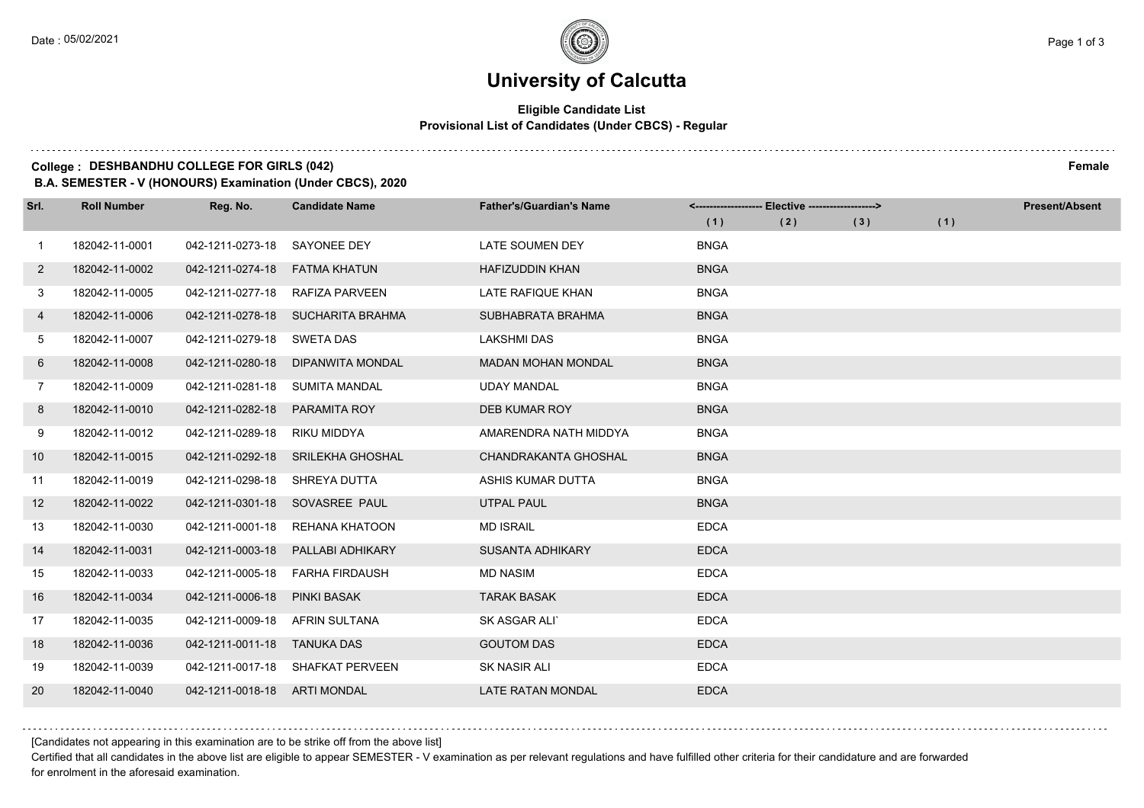# **University of Calcutta**

#### **Eligible Candidate List Provisional List of Candidates (Under CBCS) - Regular**

### **College : DESHBANDHU COLLEGE FOR GIRLS (042) Female**

**B.A. SEMESTER - V (HONOURS) Examination (Under CBCS), 2020**

| Srl.         | <b>Roll Number</b> | Reg. No.                       | <b>Candidate Name</b>             | <b>Father's/Guardian's Name</b> | <------------------- Elective ------------------> |     |     | <b>Present/Absent</b> |  |
|--------------|--------------------|--------------------------------|-----------------------------------|---------------------------------|---------------------------------------------------|-----|-----|-----------------------|--|
|              |                    |                                |                                   |                                 | (1)                                               | (2) | (3) | (1)                   |  |
| $\mathbf{1}$ | 182042-11-0001     | 042-1211-0273-18               | SAYONEE DEY                       | <b>LATE SOUMEN DEY</b>          | <b>BNGA</b>                                       |     |     |                       |  |
| $\mathbf{2}$ | 182042-11-0002     | 042-1211-0274-18               | <b>FATMA KHATUN</b>               | <b>HAFIZUDDIN KHAN</b>          | <b>BNGA</b>                                       |     |     |                       |  |
| 3            | 182042-11-0005     | 042-1211-0277-18               | RAFIZA PARVEEN                    | LATE RAFIQUE KHAN               | <b>BNGA</b>                                       |     |     |                       |  |
| 4            | 182042-11-0006     |                                | 042-1211-0278-18 SUCHARITA BRAHMA | SUBHABRATA BRAHMA               | <b>BNGA</b>                                       |     |     |                       |  |
| 5            | 182042-11-0007     | 042-1211-0279-18               | SWETA DAS                         | <b>LAKSHMI DAS</b>              | <b>BNGA</b>                                       |     |     |                       |  |
| 6            | 182042-11-0008     | 042-1211-0280-18               | DIPANWITA MONDAL                  | <b>MADAN MOHAN MONDAL</b>       | <b>BNGA</b>                                       |     |     |                       |  |
| 7            | 182042-11-0009     | 042-1211-0281-18 SUMITA MANDAL |                                   | <b>UDAY MANDAL</b>              | <b>BNGA</b>                                       |     |     |                       |  |
| 8            | 182042-11-0010     | 042-1211-0282-18               | <b>PARAMITA ROY</b>               | <b>DEB KUMAR ROY</b>            | <b>BNGA</b>                                       |     |     |                       |  |
| 9            | 182042-11-0012     | 042-1211-0289-18               | RIKU MIDDYA                       | AMARENDRA NATH MIDDYA           | <b>BNGA</b>                                       |     |     |                       |  |
| 10           | 182042-11-0015     | 042-1211-0292-18               | SRILEKHA GHOSHAL                  | CHANDRAKANTA GHOSHAL            | <b>BNGA</b>                                       |     |     |                       |  |
| 11           | 182042-11-0019     | 042-1211-0298-18               | SHREYA DUTTA                      | ASHIS KUMAR DUTTA               | <b>BNGA</b>                                       |     |     |                       |  |
| 12           | 182042-11-0022     |                                | 042-1211-0301-18 SOVASREE PAUL    | <b>UTPAL PAUL</b>               | <b>BNGA</b>                                       |     |     |                       |  |
| 13           | 182042-11-0030     | 042-1211-0001-18               | REHANA KHATOON                    | <b>MD ISRAIL</b>                | <b>EDCA</b>                                       |     |     |                       |  |
| 14           | 182042-11-0031     | 042-1211-0003-18               | PALLABI ADHIKARY                  | <b>SUSANTA ADHIKARY</b>         | <b>EDCA</b>                                       |     |     |                       |  |
| 15           | 182042-11-0033     | 042-1211-0005-18               | <b>FARHA FIRDAUSH</b>             | <b>MD NASIM</b>                 | <b>EDCA</b>                                       |     |     |                       |  |
| 16           | 182042-11-0034     | 042-1211-0006-18               | <b>PINKI BASAK</b>                | <b>TARAK BASAK</b>              | <b>EDCA</b>                                       |     |     |                       |  |
| 17           | 182042-11-0035     | 042-1211-0009-18               | AFRIN SULTANA                     | SK ASGAR ALI'                   | <b>EDCA</b>                                       |     |     |                       |  |
| 18           | 182042-11-0036     | 042-1211-0011-18               | TANUKA DAS                        | <b>GOUTOM DAS</b>               | <b>EDCA</b>                                       |     |     |                       |  |
| 19           | 182042-11-0039     |                                | 042-1211-0017-18 SHAFKAT PERVEEN  | <b>SK NASIR ALI</b>             | <b>EDCA</b>                                       |     |     |                       |  |
| 20           | 182042-11-0040     | 042-1211-0018-18 ARTI MONDAL   |                                   | <b>LATE RATAN MONDAL</b>        | <b>EDCA</b>                                       |     |     |                       |  |

[Candidates not appearing in this examination are to be strike off from the above list]

Certified that all candidates in the above list are eligible to appear SEMESTER - V examination as per relevant regulations and have fulfilled other criteria for their candidature and are forwarded for enrolment in the aforesaid examination.

. . . . . . . . . .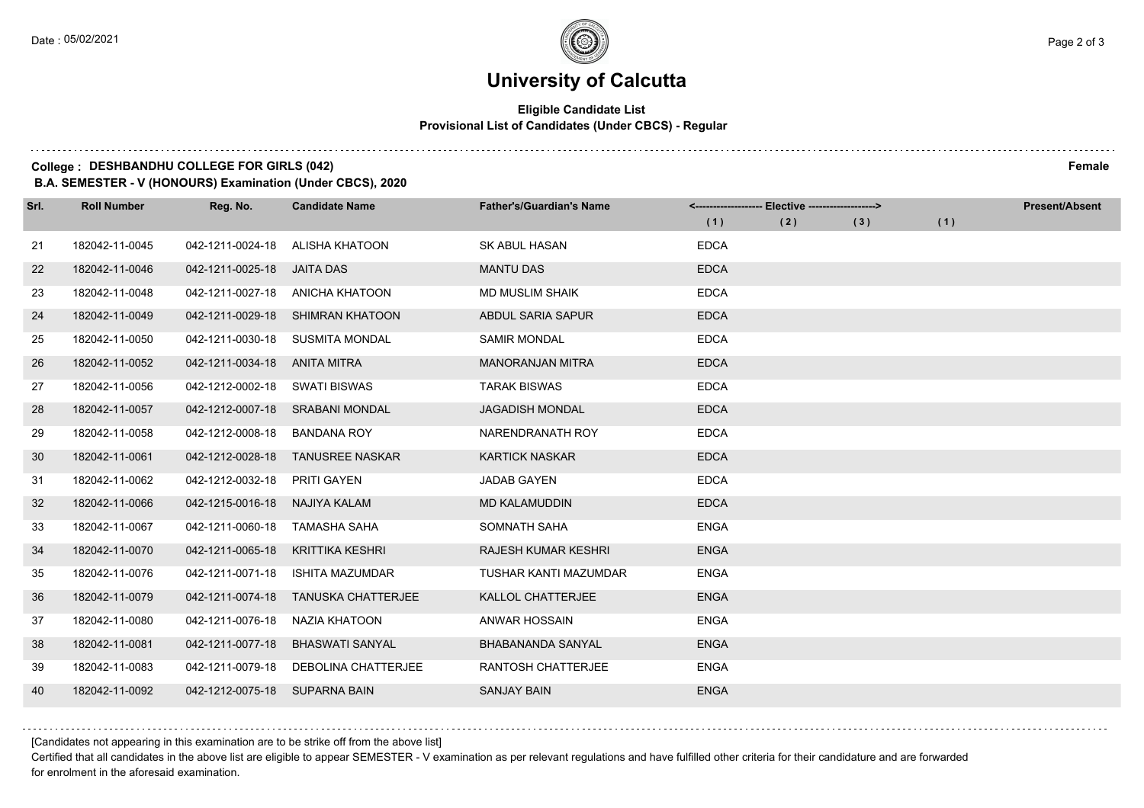# **University of Calcutta**

#### **Eligible Candidate List Provisional List of Candidates (Under CBCS) - Regular**

### **College : DESHBANDHU COLLEGE FOR GIRLS (042) Female**

**B.A. SEMESTER - V (HONOURS) Examination (Under CBCS), 2020**

| Srl. | <b>Roll Number</b> | Reg. No.                      | <b>Candidate Name</b>            | <b>Father's/Guardian's Name</b> | <-------------------- Elective -------------------> |     |     |     | <b>Present/Absent</b> |
|------|--------------------|-------------------------------|----------------------------------|---------------------------------|-----------------------------------------------------|-----|-----|-----|-----------------------|
|      |                    |                               |                                  |                                 | (1)                                                 | (2) | (3) | (1) |                       |
| 21   | 182042-11-0045     | 042-1211-0024-18              | ALISHA KHATOON                   | SK ABUL HASAN                   | <b>EDCA</b>                                         |     |     |     |                       |
| 22   | 182042-11-0046     | 042-1211-0025-18              | JAITA DAS                        | <b>MANTU DAS</b>                | <b>EDCA</b>                                         |     |     |     |                       |
| 23   | 182042-11-0048     |                               | 042-1211-0027-18 ANICHA KHATOON  | <b>MD MUSLIM SHAIK</b>          | <b>EDCA</b>                                         |     |     |     |                       |
| 24   | 182042-11-0049     |                               | 042-1211-0029-18 SHIMRAN KHATOON | ABDUL SARIA SAPUR               | <b>EDCA</b>                                         |     |     |     |                       |
| 25   | 182042-11-0050     | 042-1211-0030-18              | <b>SUSMITA MONDAL</b>            | <b>SAMIR MONDAL</b>             | <b>EDCA</b>                                         |     |     |     |                       |
| 26   | 182042-11-0052     | 042-1211-0034-18 ANITA MITRA  |                                  | <b>MANORANJAN MITRA</b>         | <b>EDCA</b>                                         |     |     |     |                       |
| 27   | 182042-11-0056     | 042-1212-0002-18 SWATI BISWAS |                                  | <b>TARAK BISWAS</b>             | <b>EDCA</b>                                         |     |     |     |                       |
| 28   | 182042-11-0057     |                               | 042-1212-0007-18 SRABANI MONDAL  | <b>JAGADISH MONDAL</b>          | <b>EDCA</b>                                         |     |     |     |                       |
| 29   | 182042-11-0058     | 042-1212-0008-18              | <b>BANDANA ROY</b>               | NARENDRANATH ROY                | <b>EDCA</b>                                         |     |     |     |                       |
| 30   | 182042-11-0061     | 042-1212-0028-18              | <b>TANUSREE NASKAR</b>           | <b>KARTICK NASKAR</b>           | <b>EDCA</b>                                         |     |     |     |                       |
| 31   | 182042-11-0062     | 042-1212-0032-18              | PRITI GAYEN                      | <b>JADAB GAYEN</b>              | <b>EDCA</b>                                         |     |     |     |                       |
| 32   | 182042-11-0066     | 042-1215-0016-18              | <b>NAJIYA KALAM</b>              | <b>MD KALAMUDDIN</b>            | <b>EDCA</b>                                         |     |     |     |                       |
| 33   | 182042-11-0067     | 042-1211-0060-18              | <b>TAMASHA SAHA</b>              | SOMNATH SAHA                    | <b>ENGA</b>                                         |     |     |     |                       |
| 34   | 182042-11-0070     | 042-1211-0065-18              | <b>KRITTIKA KESHRI</b>           | <b>RAJESH KUMAR KESHRI</b>      | <b>ENGA</b>                                         |     |     |     |                       |
| 35   | 182042-11-0076     | 042-1211-0071-18              | <b>ISHITA MAZUMDAR</b>           | <b>TUSHAR KANTI MAZUMDAR</b>    | <b>ENGA</b>                                         |     |     |     |                       |
| 36   | 182042-11-0079     | 042-1211-0074-18              | <b>TANUSKA CHATTERJEE</b>        | KALLOL CHATTERJEE               | <b>ENGA</b>                                         |     |     |     |                       |
| 37   | 182042-11-0080     | 042-1211-0076-18              | NAZIA KHATOON                    | <b>ANWAR HOSSAIN</b>            | <b>ENGA</b>                                         |     |     |     |                       |
| 38   | 182042-11-0081     | 042-1211-0077-18              | <b>BHASWATI SANYAL</b>           | <b>BHABANANDA SANYAL</b>        | <b>ENGA</b>                                         |     |     |     |                       |
| 39   | 182042-11-0083     | 042-1211-0079-18              | <b>DEBOLINA CHATTERJEE</b>       | <b>RANTOSH CHATTERJEE</b>       | <b>ENGA</b>                                         |     |     |     |                       |
| 40   | 182042-11-0092     | 042-1212-0075-18 SUPARNA BAIN |                                  | <b>SANJAY BAIN</b>              | <b>ENGA</b>                                         |     |     |     |                       |

[Candidates not appearing in this examination are to be strike off from the above list]

Certified that all candidates in the above list are eligible to appear SEMESTER - V examination as per relevant regulations and have fulfilled other criteria for their candidature and are forwarded for enrolment in the aforesaid examination.

. . . . . . . . . .